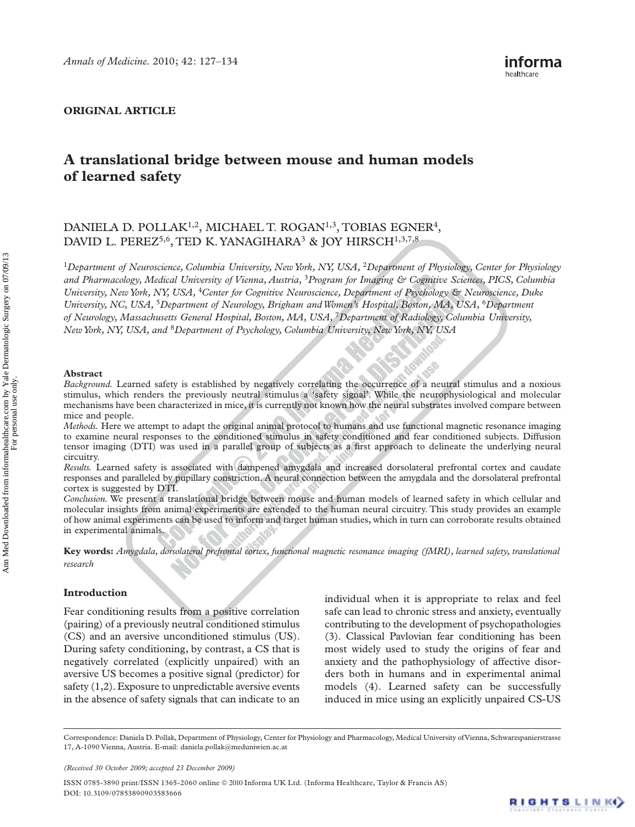**ORIGINAL ARTICLE** 

# **A translational bridge between mouse and human models of learned safety**

## DANIELA D. POLLAK<sup>1,2</sup>, MICHAEL T. ROGAN<sup>1,3</sup>, TOBIAS EGNER<sup>4</sup>, DAVID L. PEREZ<sup>5,6</sup>, TED K. YANAGIHARA<sup>3</sup> & JOY HIRSCH<sup>1,3,7,8</sup>

<sup>1</sup>*Department of Neuroscience, Columbia University, New York, NY, USA,* <sup>2</sup>*Department of Physiology, Center for Physiology and Pharmacology, Medical University of Vienna, Austria,* <sup>3</sup>*Program for Imaging & Cognitive Sciences, PICS, Columbia University, New York, NY, USA,* <sup>4</sup>*Center for Cognitive Neuroscience, Department of Psychology & Neuroscience, Duke University, NC, USA,* 5*Department of Neurology, Brigham and Women's Hospital, Boston, MA, USA,* 6*Department of Neurology, Massachusetts General Hospital, Boston, MA, USA,* 7*Department of Radiology, Columbia University, New York, NY, USA, and* 8*Department of Psychology, Columbia University, New York, NY, USA* 

## **Abstract**

*Background.* Learned safety is established by negatively correlating the occurrence of a neutral stimulus and a noxious stimulus, which renders the previously neutral stimulus a 'safety signal'. While the neurophysiological and molecular mechanisms have been characterized in mice, it is currently not known how the neural substrates involved compare between mice and people.

*Methods.* Here we attempt to adapt the original animal protocol to humans and use functional magnetic resonance imaging to examine neural responses to the conditioned stimulus in safety conditioned and fear conditioned subjects. Diffusion tensor imaging (DTI) was used in a parallel group of subjects as a first approach to delineate the underlying neural circuitry.

*Results.* Learned safety is associated with dampened amygdala and increased dorsolateral prefrontal cortex and caudate responses and paralleled by pupillary constriction. A neural connection between the amygdala and the dorsolateral prefrontal cortex is suggested by DTI.

*Conclusion.* We present a translational bridge between mouse and human models of learned safety in which cellular and molecular insights from animal experiments are extended to the human neural circuitry. This study provides an example of how animal experiments can be used to inform and target human studies, which in turn can corroborate results obtained in experimental animals.

**Key words:** *Amygdala, dorsolateral prefrontal cortex , functional magnetic resonance imaging (fMRI) , learned safety , translational research* 

## **Introduction**

Fear conditioning results from a positive correlation (pairing) of a previously neutral conditioned stimulus (CS) and an aversive unconditioned stimulus (US). During safety conditioning, by contrast, a CS that is negatively correlated (explicitly unpaired) with an aversive US becomes a positive signal (predictor) for safety (1,2). Exposure to unpredictable aversive events in the absence of safety signals that can indicate to an individual when it is appropriate to relax and feel safe can lead to chronic stress and anxiety, eventually contributing to the development of psychopathologies (3). Classical Pavlovian fear conditioning has been most widely used to study the origins of fear and anxiety and the pathophysiology of affective disorders both in humans and in experimental animal models (4). Learned safety can be successfully induced in mice using an explicitly unpaired CS-US

ISSN 0785-3890 print/ISSN 1365-2060 online © 2010 Informa UK Ltd. (Informa Healthcare, Taylor & Francis AS) DOI: 10.3109/07853890903583666

Ann Med Downloaded from informahealthcare.com by Yale Dermatologic Surgery on 07/09/13 For personal use only.

Correspondence: Daniela D. Pollak, Department of Physiology, Center for Physiology and Pharmacology, Medical University of Vienna, Schwarzspanierstrasse 17, A-1090 Vienna, Austria. E-mail: daniela.pollak@meduniwien.ac.at

*<sup>(</sup>Received 30 October 2009; accepted 23 December 2009)*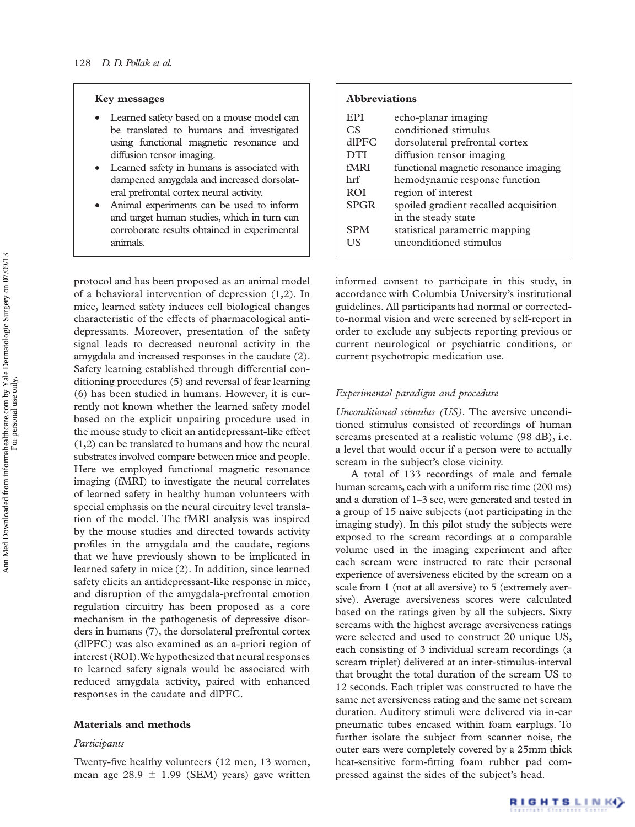## **Key messages**

- Learned safety based on a mouse model can be translated to humans and investigated using functional magnetic resonance and diffusion tensor imaging.
- Learned safety in humans is associated with dampened amygdala and increased dorsolateral prefrontal cortex neural activity.
- Animal experiments can be used to inform and target human studies, which in turn can corroborate results obtained in experimental animals.

protocol and has been proposed as an animal model of a behavioral intervention of depression (1,2). In mice, learned safety induces cell biological changes characteristic of the effects of pharmacological antidepressants. Moreover, presentation of the safety signal leads to decreased neuronal activity in the amygdala and increased responses in the caudate (2). Safety learning established through differential conditioning procedures (5) and reversal of fear learning (6) has been studied in humans. However, it is currently not known whether the learned safety model based on the explicit unpairing procedure used in the mouse study to elicit an antidepressant-like effect (1,2) can be translated to humans and how the neural substrates involved compare between mice and people. Here we employed functional magnetic resonance imaging (fMRI) to investigate the neural correlates of learned safety in healthy human volunteers with special emphasis on the neural circuitry level translation of the model. The fMRI analysis was inspired by the mouse studies and directed towards activity profiles in the amygdala and the caudate, regions that we have previously shown to be implicated in learned safety in mice (2). In addition, since learned safety elicits an antidepressant-like response in mice, and disruption of the amygdala-prefrontal emotion regulation circuitry has been proposed as a core mechanism in the pathogenesis of depressive disorders in humans (7), the dorsolateral prefrontal cortex (dlPFC) was also examined as an a-priori region of interest (ROI). We hypothesized that neural responses to learned safety signals would be associated with reduced amygdala activity, paired with enhanced responses in the caudate and dlPFC.

#### **Materials and methods**

## *Participants*

Twenty-five healthy volunteers (12 men, 13 women, mean age  $28.9 \pm 1.99$  (SEM) years) gave written

## **Abbreviations**

| EPI         | echo-planar imaging                   |
|-------------|---------------------------------------|
| CS          | conditioned stimulus                  |
| $d$ l $PFC$ | dorsolateral prefrontal cortex        |
| DTI         | diffusion tensor imaging              |
| fMRI        | functional magnetic resonance imaging |
| hrf         | hemodynamic response function         |
| <b>ROI</b>  | region of interest                    |
| <b>SPGR</b> | spoiled gradient recalled acquisition |
|             | in the steady state                   |
| <b>SPM</b>  | statistical parametric mapping        |
| <b>US</b>   | unconditioned stimulus                |
|             |                                       |

informed consent to participate in this study, in accordance with Columbia University's institutional guidelines. All participants had normal or correctedto-normal vision and were screened by self-report in order to exclude any subjects reporting previous or current neurological or psychiatric conditions, or current psychotropic medication use.

## *Experimental paradigm and procedure*

*Unconditioned stimulus (US).* The aversive unconditioned stimulus consisted of recordings of human screams presented at a realistic volume (98 dB), i.e. a level that would occur if a person were to actually scream in the subject's close vicinity.

A total of 133 recordings of male and female human screams, each with a uniform rise time (200 ms) and a duration of 1–3 sec, were generated and tested in a group of 15 naive subjects (not participating in the imaging study). In this pilot study the subjects were exposed to the scream recordings at a comparable volume used in the imaging experiment and after each scream were instructed to rate their personal experience of aversiveness elicited by the scream on a scale from 1 (not at all aversive) to 5 (extremely aversive). Average aversiveness scores were calculated based on the ratings given by all the subjects. Sixty screams with the highest average aversiveness ratings were selected and used to construct 20 unique US, each consisting of 3 individual scream recordings (a scream triplet) delivered at an inter-stimulus-interval that brought the total duration of the scream US to 12 seconds. Each triplet was constructed to have the same net aversiveness rating and the same net scream duration. Auditory stimuli were delivered via in-ear pneumatic tubes encased within foam earplugs. To further isolate the subject from scanner noise, the outer ears were completely covered by a 25mm thick heat-sensitive form-fitting foam rubber pad compressed against the sides of the subject's head.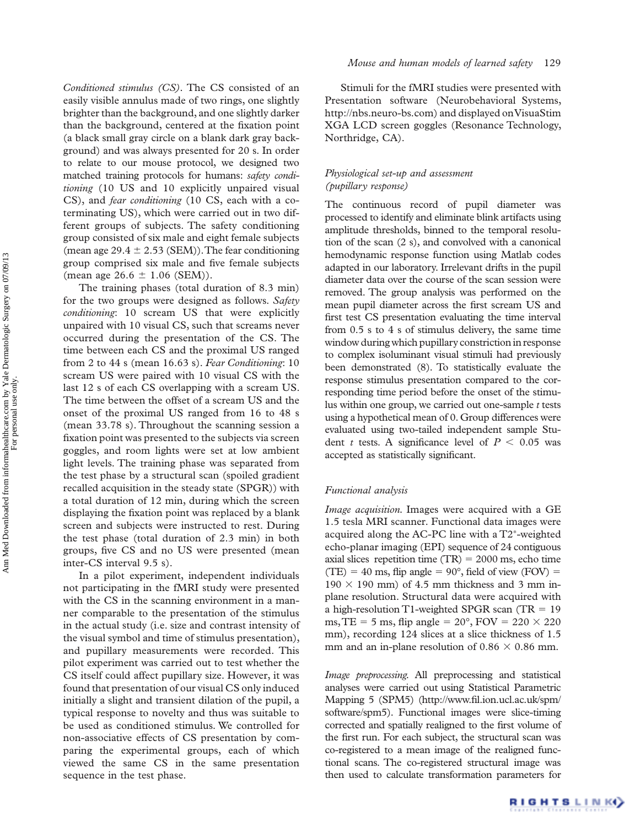*Conditioned stimulus (CS).* The CS consisted of an easily visible annulus made of two rings, one slightly brighter than the background, and one slightly darker than the background, centered at the fixation point (a black small gray circle on a blank dark gray background) and was always presented for 20 s. In order to relate to our mouse protocol, we designed two matched training protocols for humans: *safety conditioning* (10 US and 10 explicitly unpaired visual CS), and *fear conditioning* (10 CS, each with a coterminating US), which were carried out in two different groups of subjects. The safety conditioning group consisted of six male and eight female subjects (mean age  $29.4 \pm 2.53$  (SEM)). The fear conditioning group comprised six male and five female subjects (mean age  $26.6 \pm 1.06$  (SEM)).

The training phases (total duration of 8.3 min) for the two groups were designed as follows. *Safety conditioning*: 10 scream US that were explicitly unpaired with 10 visual CS, such that screams never occurred during the presentation of the CS. The time between each CS and the proximal US ranged from 2 to 44 s (mean 16.63 s). *Fear Conditioning*: 10 scream US were paired with 10 visual CS with the last 12 s of each CS overlapping with a scream US. The time between the offset of a scream US and the onset of the proximal US ranged from 16 to 48 s (mean 33.78 s). Throughout the scanning session a fixation point was presented to the subjects via screen goggles, and room lights were set at low ambient light levels. The training phase was separated from the test phase by a structural scan (spoiled gradient recalled acquisition in the steady state (SPGR)) with a total duration of 12 min, during which the screen displaying the fixation point was replaced by a blank screen and subjects were instructed to rest. During the test phase (total duration of 2.3 min) in both groups, five CS and no US were presented (mean inter-CS interval 9.5 s).

In a pilot experiment, independent individuals not participating in the fMRI study were presented with the CS in the scanning environment in a manner comparable to the presentation of the stimulus in the actual study (i.e. size and contrast intensity of the visual symbol and time of stimulus presentation), and pupillary measurements were recorded. This pilot experiment was carried out to test whether the CS itself could affect pupillary size. However, it was found that presentation of our visual CS only induced initially a slight and transient dilation of the pupil, a typical response to novelty and thus was suitable to be used as conditioned stimulus. We controlled for non-associative effects of CS presentation by comparing the experimental groups, each of which viewed the same CS in the same presentation sequence in the test phase.

Stimuli for the fMRI studies were presented with Presentation software (Neurobehavioral Systems, http://nbs.neuro-bs.com) and displayed on VisuaStim XGA LCD screen goggles (Resonance Technology, Northridge, CA).

## *Physiological set-up and assessment (pupillary response)*

The continuous record of pupil diameter was processed to identify and eliminate blink artifacts using amplitude thresholds, binned to the temporal resolution of the scan (2 s), and convolved with a canonical hemodynamic response function using Matlab codes adapted in our laboratory. Irrelevant drifts in the pupil diameter data over the course of the scan session were removed. The group analysis was performed on the mean pupil diameter across the first scream US and first test CS presentation evaluating the time interval from 0.5 s to 4 s of stimulus delivery, the same time window during which pupillary constriction in response to complex isoluminant visual stimuli had previously been demonstrated (8). To statistically evaluate the response stimulus presentation compared to the corresponding time period before the onset of the stimulus within one group, we carried out one-sample *t* tests using a hypothetical mean of 0. Group differences were evaluated using two-tailed independent sample Student *t* tests. A significance level of  $P < 0.05$  was accepted as statistically significant.

## *Functional analysis*

*Image acquisition.* Images were acquired with a GE 1.5 tesla MRI scanner. Functional data images were acquired along the AC-PC line with a T2<sup>∗</sup>-weighted echo-planar imaging (EPI) sequence of 24 contiguous axial slices repetition time  $(TR) = 2000$  ms, echo time  $(TE) = 40$  ms, flip angle = 90°, field of view  $(FOV) =$  $190 \times 190$  mm) of 4.5 mm thickness and 3 mm inplane resolution. Structural data were acquired with a high-resolution T1-weighted SPGR scan (TR  $= 19$ ms, TE = 5 ms, flip angle =  $20^{\circ}$ , FOV =  $220 \times 220$ mm), recording 124 slices at a slice thickness of 1.5 mm and an in-plane resolution of  $0.86 \times 0.86$  mm.

*Image preprocessing.* All preprocessing and statistical analyses were carried out using Statistical Parametric Mapping 5 (SPM5) (http://www.fil.ion.ucl.ac.uk/spm/ software/spm5). Functional images were slice-timing corrected and spatially realigned to the first volume of the first run. For each subject, the structural scan was co-registered to a mean image of the realigned functional scans. The co-registered structural image was then used to calculate transformation parameters for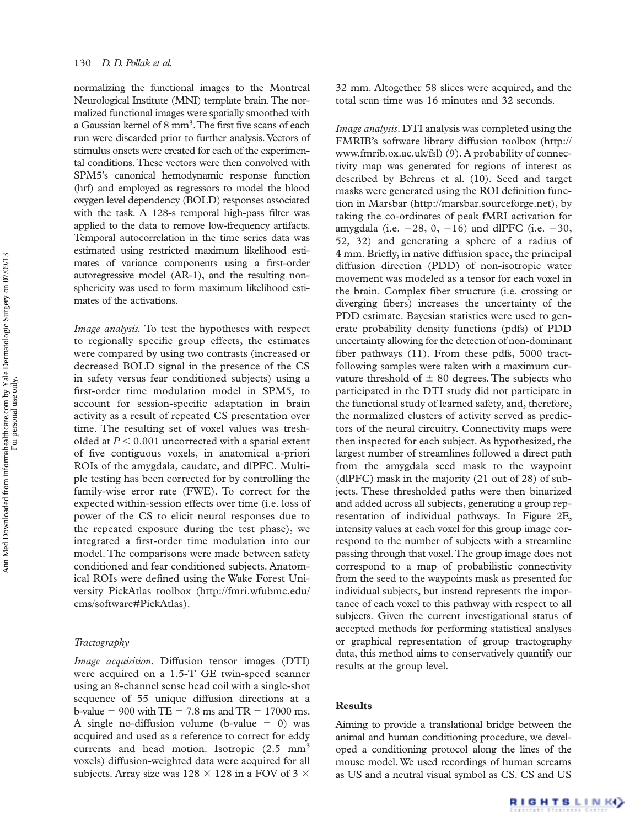normalizing the functional images to the Montreal Neurological Institute (MNI) template brain. The normalized functional images were spatially smoothed with a Gaussian kernel of 8 mm<sup>3</sup>. The first five scans of each run were discarded prior to further analysis. Vectors of stimulus onsets were created for each of the experimental conditions. These vectors were then convolved with SPM5's canonical hemodynamic response function (hrf) and employed as regressors to model the blood oxygen level dependency (BOLD) responses associated with the task. A  $128$ -s temporal high-pass filter was applied to the data to remove low-frequency artifacts. Temporal autocorrelation in the time series data was estimated using restricted maximum likelihood estimates of variance components using a first-order autoregressive model (AR-1), and the resulting nonsphericity was used to form maximum likelihood estimates of the activations.

*Image analysis.* To test the hypotheses with respect to regionally specific group effects, the estimates were compared by using two contrasts (increased or decreased BOLD signal in the presence of the CS in safety versus fear conditioned subjects) using a first-order time modulation model in SPM5, to account for session-specific adaptation in brain activity as a result of repeated CS presentation over time. The resulting set of voxel values was tresholded at  $P \le 0.001$  uncorrected with a spatial extent of five contiguous voxels, in anatomical a-priori ROIs of the amygdala, caudate, and dlPFC. Multiple testing has been corrected for by controlling the family-wise error rate (FWE). To correct for the expected within-session effects over time (i.e. loss of power of the CS to elicit neural responses due to the repeated exposure during the test phase), we integrated a first-order time modulation into our model. The comparisons were made between safety conditioned and fear conditioned subjects. Anatomical ROIs were defined using the Wake Forest University PickAtlas toolbox (http://fmri.wfubmc.edu/ cms/software#PickAtlas).

## *Tractography*

*Image acquisition*. Diffusion tensor images (DTI) were acquired on a 1.5-T GE twin-speed scanner using an 8-channel sense head coil with a single-shot sequence of 55 unique diffusion directions at a b-value = 900 with  $TE = 7.8$  ms and  $TR = 17000$  ms. A single no-diffusion volume (b-value  $= 0$ ) was acquired and used as a reference to correct for eddy currents and head motion. Isotropic  $(2.5 \text{ mm}^3)$ voxels) diffusion-weighted data were acquired for all subjects. Array size was  $128 \times 128$  in a FOV of 3  $\times$ 

32 mm. Altogether 58 slices were acquired, and the total scan time was 16 minutes and 32 seconds.

*Image analysis*. DTI analysis was completed using the FMRIB's software library diffusion toolbox (http:// www.fmrib.ox.ac.uk/fsl) (9). A probability of connectivity map was generated for regions of interest as described by Behrens et al. (10). Seed and target masks were generated using the ROI definition function in Marsbar (http://marsbar.sourceforge.net), by taking the co-ordinates of peak fMRI activation for amygdala (i.e.  $-28$ , 0,  $-16$ ) and dlPFC (i.e.  $-30$ , 52, 32) and generating a sphere of a radius of 4 mm. Briefly, in native diffusion space, the principal diffusion direction (PDD) of non-isotropic water movement was modeled as a tensor for each voxel in the brain. Complex fiber structure (i.e. crossing or diverging fibers) increases the uncertainty of the PDD estimate. Bayesian statistics were used to generate probability density functions (pdfs) of PDD uncertainty allowing for the detection of non-dominant fiber pathways  $(11)$ . From these pdfs, 5000 tractfollowing samples were taken with a maximum curvature threshold of  $\pm$  80 degrees. The subjects who participated in the DTI study did not participate in the functional study of learned safety, and, therefore, the normalized clusters of activity served as predictors of the neural circuitry. Connectivity maps were then inspected for each subject. As hypothesized, the largest number of streamlines followed a direct path from the amygdala seed mask to the waypoint (dlPFC) mask in the majority (21 out of 28) of subjects. These thresholded paths were then binarized and added across all subjects, generating a group representation of individual pathways. In Figure 2E, intensity values at each voxel for this group image correspond to the number of subjects with a streamline passing through that voxel. The group image does not correspond to a map of probabilistic connectivity from the seed to the waypoints mask as presented for individual subjects, but instead represents the importance of each voxel to this pathway with respect to all subjects. Given the current investigational status of accepted methods for performing statistical analyses or graphical representation of group tractography data, this method aims to conservatively quantify our results at the group level.

#### **Results**

Aiming to provide a translational bridge between the animal and human conditioning procedure, we developed a conditioning protocol along the lines of the mouse model. We used recordings of human screams as US and a neutral visual symbol as CS. CS and US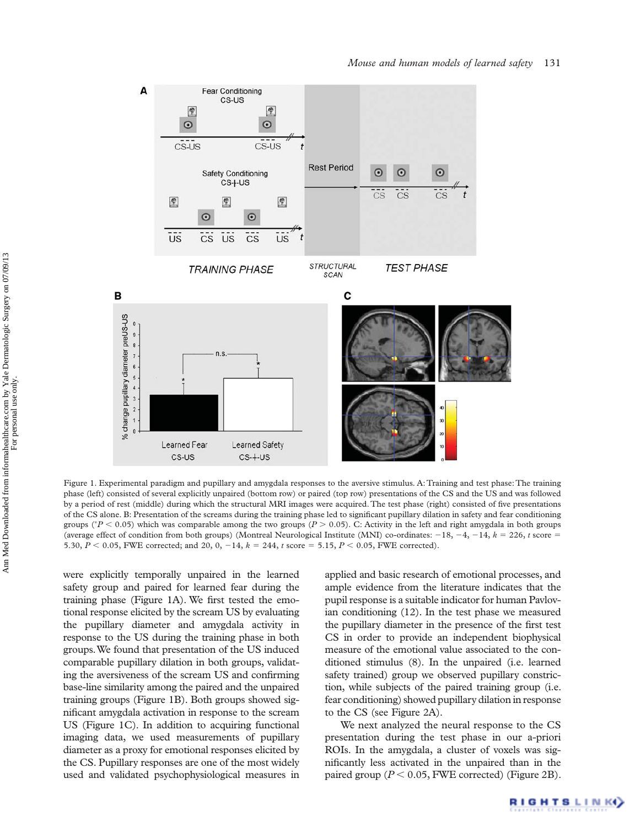

Figure 1. Experimental paradigm and pupillary and amygdala responses to the aversive stimulus. A: Training and test phase: The training phase (left) consisted of several explicitly unpaired (bottom row) or paired (top row) presentations of the CS and the US and was followed by a period of rest (middle) during which the structural MRI images were acquired. The test phase (right) consisted of five presentations of the CS alone. B: Presentation of the screams during the training phase led to significant pupillary dilation in safety and fear conditioning groups ( $*P < 0.05$ ) which was comparable among the two groups ( $P > 0.05$ ). C: Activity in the left and right amygdala in both groups (average effect of condition from both groups) (Montreal Neurological Institute (MNI) co-ordinates:  $-18$ ,  $-4$ ,  $-14$ ,  $k = 226$ , *t* score = 5.30,  $P < 0.05$ , FWE corrected; and 20, 0,  $-14$ ,  $k = 244$ ,  $t$  score = 5.15,  $P < 0.05$ , FWE corrected).

were explicitly temporally unpaired in the learned safety group and paired for learned fear during the training phase (Figure 1A). We first tested the emotional response elicited by the scream US by evaluating the pupillary diameter and amygdala activity in response to the US during the training phase in both groups. We found that presentation of the US induced comparable pupillary dilation in both groups, validating the aversiveness of the scream US and confirming base-line similarity among the paired and the unpaired training groups (Figure 1B). Both groups showed significant amygdala activation in response to the scream US (Figure 1C). In addition to acquiring functional imaging data, we used measurements of pupillary diameter as a proxy for emotional responses elicited by the CS. Pupillary responses are one of the most widely used and validated psychophysiological measures in

applied and basic research of emotional processes, and ample evidence from the literature indicates that the pupil response is a suitable indicator for human Pavlovian conditioning (12). In the test phase we measured the pupillary diameter in the presence of the first test CS in order to provide an independent biophysical measure of the emotional value associated to the conditioned stimulus (8). In the unpaired (i.e. learned safety trained) group we observed pupillary constriction, while subjects of the paired training group (i.e. fear conditioning) showed pupillary dilation in response to the CS (see Figure 2A).

We next analyzed the neural response to the CS presentation during the test phase in our a-priori ROIs. In the amygdala, a cluster of voxels was significantly less activated in the unpaired than in the paired group ( $P < 0.05$ , FWE corrected) (Figure 2B).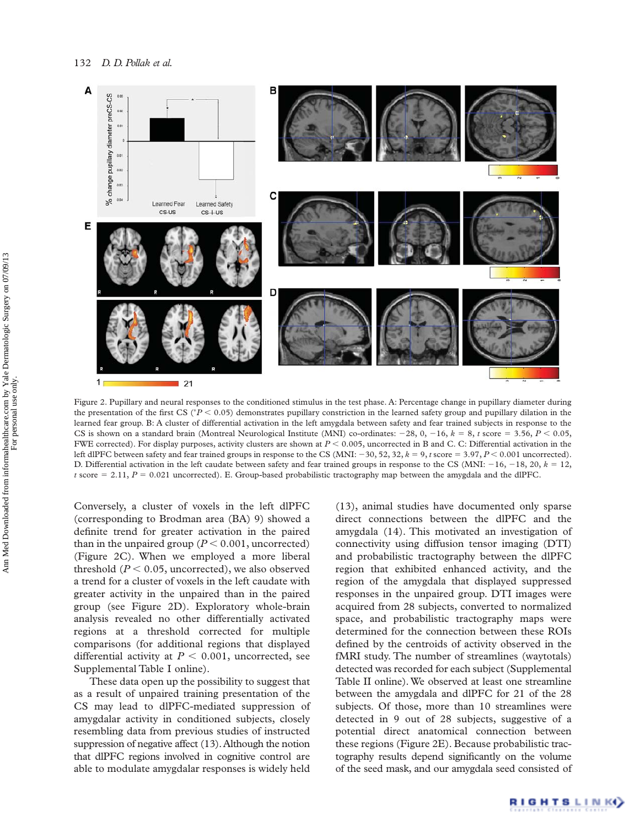

Figure 2.Pupillary and neural responses to the conditioned stimulus in the test phase. A: Percentage change in pupillary diameter during the presentation of the first CS (<sup>∗</sup>*P* < 0.05) demonstrates pupillary constriction in the learned safety group and pupillary dilation in the learned fear group. B: A cluster of differential activation in the left amygdala between safety and fear trained subjects in response to the CS is shown on a standard brain (Montreal Neurological Institute (MNI) co-ordinates:  $-28$ ,  $0$ ,  $-16$ ,  $k = 8$ ,  $t$  score  $= 3.56$ ,  $P < 0.05$ , FWE corrected). For display purposes, activity clusters are shown at  $P < 0.005$ , uncorrected in B and C. C: Differential activation in the left dlPFC between safety and fear trained groups in response to the CS (MNI:  $-30, 52, 32, k = 9$ , *t* score = 3.97, *P* < 0.001 uncorrected). D. Differential activation in the left caudate between safety and fear trained groups in response to the CS (MNI:  $-16$ ,  $-18$ ,  $20$ ,  $k = 12$ , *t* score = 2.11, *P* = 0.021 uncorrected). E. Group-based probabilistic tractography map between the amygdala and the dlPFC.

Conversely, a cluster of voxels in the left dlPFC (corresponding to Brodman area (BA) 9) showed a definite trend for greater activation in the paired than in the unpaired group  $(P < 0.001$ , uncorrected) (Figure 2C). When we employed a more liberal threshold  $(P < 0.05$ , uncorrected), we also observed a trend for a cluster of voxels in the left caudate with greater activity in the unpaired than in the paired group (see Figure 2D). Exploratory whole-brain analysis revealed no other differentially activated regions at a threshold corrected for multiple comparisons (for additional regions that displayed differential activity at  $P < 0.001$ , uncorrected, see Supplemental Table I online).

These data open up the possibility to suggest that as a result of unpaired training presentation of the CS may lead to dlPFC-mediated suppression of amygdalar activity in conditioned subjects, closely resembling data from previous studies of instructed suppression of negative affect (13). Although the notion that dlPFC regions involved in cognitive control are able to modulate amygdalar responses is widely held

(13), animal studies have documented only sparse direct connections between the dlPFC and the amygdala (14). This motivated an investigation of connectivity using diffusion tensor imaging (DTI) and probabilistic tractography between the dlPFC region that exhibited enhanced activity, and the region of the amygdala that displayed suppressed responses in the unpaired group. DTI images were acquired from 28 subjects, converted to normalized space, and probabilistic tractography maps were determined for the connection between these ROIs defined by the centroids of activity observed in the fMRI study. The number of streamlines (waytotals) detected was recorded for each subject (Supplemental Table II online). We observed at least one streamline between the amygdala and dlPFC for 21 of the 28 subjects. Of those, more than 10 streamlines were detected in 9 out of 28 subjects, suggestive of a potential direct anatomical connection between these regions (Figure 2E). Because probabilistic tractography results depend significantly on the volume of the seed mask, and our amygdala seed consisted of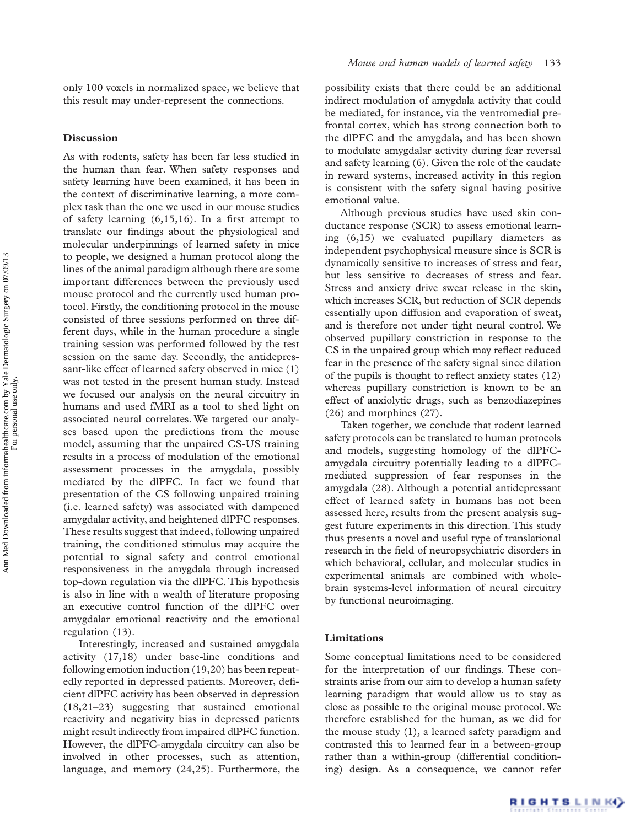only 100 voxels in normalized space, we believe that this result may under-represent the connections.

## **Discussion**

As with rodents, safety has been far less studied in the human than fear. When safety responses and safety learning have been examined, it has been in the context of discriminative learning, a more complex task than the one we used in our mouse studies of safety learning  $(6,15,16)$ . In a first attempt to translate our findings about the physiological and molecular underpinnings of learned safety in mice to people, we designed a human protocol along the lines of the animal paradigm although there are some important differences between the previously used mouse protocol and the currently used human protocol. Firstly, the conditioning protocol in the mouse consisted of three sessions performed on three different days, while in the human procedure a single training session was performed followed by the test session on the same day. Secondly, the antidepressant-like effect of learned safety observed in mice (1) was not tested in the present human study. Instead we focused our analysis on the neural circuitry in humans and used fMRI as a tool to shed light on associated neural correlates. We targeted our analyses based upon the predictions from the mouse model, assuming that the unpaired CS-US training results in a process of modulation of the emotional assessment processes in the amygdala, possibly mediated by the dlPFC. In fact we found that presentation of the CS following unpaired training (i.e. learned safety) was associated with dampened amygdalar activity, and heightened dlPFC responses. These results suggest that indeed, following unpaired training, the conditioned stimulus may acquire the potential to signal safety and control emotional responsiveness in the amygdala through increased top-down regulation via the dlPFC. This hypothesis is also in line with a wealth of literature proposing an executive control function of the dlPFC over amygdalar emotional reactivity and the emotional regulation (13).

Interestingly, increased and sustained amygdala activity (17,18) under base-line conditions and following emotion induction (19,20) has been repeatedly reported in depressed patients. Moreover, deficient dlPFC activity has been observed in depression (18,21–23) suggesting that sustained emotional reactivity and negativity bias in depressed patients might result indirectly from impaired dlPFC function. However, the dlPFC-amygdala circuitry can also be involved in other processes, such as attention, language, and memory (24,25). Furthermore, the

possibility exists that there could be an additional indirect modulation of amygdala activity that could be mediated, for instance, via the ventromedial prefrontal cortex, which has strong connection both to the dlPFC and the amygdala, and has been shown to modulate amygdalar activity during fear reversal and safety learning (6). Given the role of the caudate in reward systems, increased activity in this region is consistent with the safety signal having positive emotional value.

Although previous studies have used skin conductance response (SCR) to assess emotional learning (6,15) we evaluated pupillary diameters as independent psychophysical measure since is SCR is dynamically sensitive to increases of stress and fear, but less sensitive to decreases of stress and fear. Stress and anxiety drive sweat release in the skin, which increases SCR, but reduction of SCR depends essentially upon diffusion and evaporation of sweat, and is therefore not under tight neural control. We observed pupillary constriction in response to the CS in the unpaired group which may reflect reduced fear in the presence of the safety signal since dilation of the pupils is thought to reflect anxiety states  $(12)$ whereas pupillary constriction is known to be an effect of anxiolytic drugs, such as benzodiazepines (26) and morphines (27).

Taken together, we conclude that rodent learned safety protocols can be translated to human protocols and models, suggesting homology of the dlPFCamygdala circuitry potentially leading to a dlPFCmediated suppression of fear responses in the amygdala (28). Although a potential antidepressant effect of learned safety in humans has not been assessed here, results from the present analysis suggest future experiments in this direction. This study thus presents a novel and useful type of translational research in the field of neuropsychiatric disorders in which behavioral, cellular, and molecular studies in experimental animals are combined with wholebrain systems-level information of neural circuitry by functional neuroimaging.

### **Limitations**

Some conceptual limitations need to be considered for the interpretation of our findings. These constraints arise from our aim to develop a human safety learning paradigm that would allow us to stay as close as possible to the original mouse protocol. We therefore established for the human, as we did for the mouse study (1), a learned safety paradigm and contrasted this to learned fear in a between-group rather than a within-group (differential conditioning) design. As a consequence, we cannot refer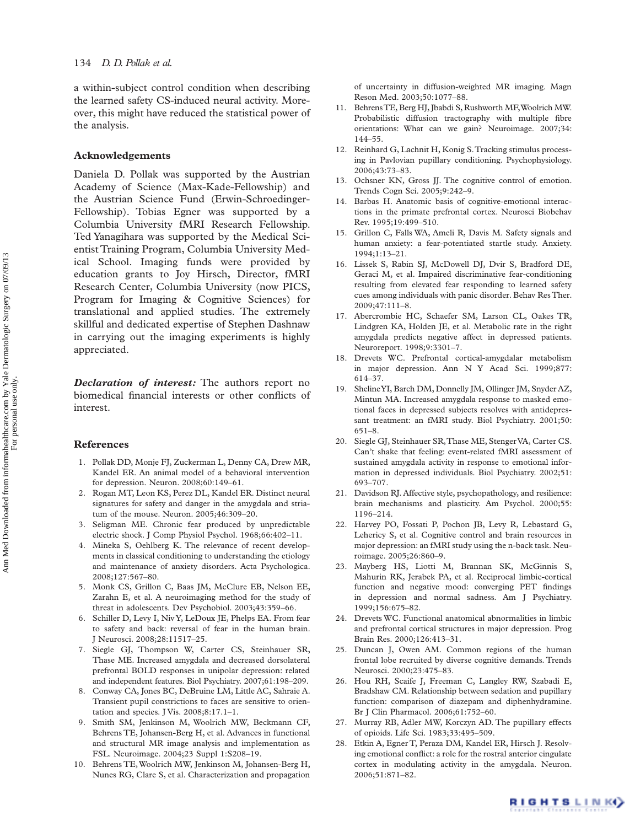a within-subject control condition when describing the learned safety CS-induced neural activity. Moreover, this might have reduced the statistical power of the analysis.

### **Acknowledgements**

Daniela D. Pollak was supported by the Austrian Academy of Science (Max-Kade-Fellowship) and the Austrian Science Fund (Erwin-Schroedinger-Fellowship). Tobias Egner was supported by a Columbia University fMRI Research Fellowship. Ted Yanagihara was supported by the Medical Scientist Training Program, Columbia University Medical School. Imaging funds were provided by education grants to Joy Hirsch, Director, fMRI Research Center, Columbia University (now PICS, Program for Imaging & Cognitive Sciences) for translational and applied studies. The extremely skillful and dedicated expertise of Stephen Dashnaw in carrying out the imaging experiments is highly appreciated.

*Declaration of interest:* The authors report no biomedical financial interests or other conflicts of interest.

## **References**

- 1. Pollak DD, Monje FJ, Zuckerman L, Denny CA, Drew MR, Kandel ER. An animal model of a behavioral intervention for depression. Neuron. 2008;60:149–61.
- 2. Rogan MT, Leon KS, Perez DL, Kandel ER. Distinct neural signatures for safety and danger in the amygdala and striatum of the mouse. Neuron. 2005;46:309–20.
- 3. Seligman ME. Chronic fear produced by unpredictable electric shock. J Comp Physiol Psychol. 1968;66:402–11.
- 4. Mineka S, Oehlberg K. The relevance of recent developments in classical conditioning to understanding the etiology and maintenance of anxiety disorders. Acta Psychologica. 2008;127:567–80.
- 5. Monk CS, Grillon C, Baas JM, McClure EB, Nelson EE, Zarahn E, et al. A neuroimaging method for the study of threat in adolescents. Dev Psychobiol. 2003;43:359–66.
- 6. Schiller D, Levy I, Niv Y, LeDoux JE, Phelps EA. From fear to safety and back: reversal of fear in the human brain. J Neurosci. 2008;28:11517–25.
- 7. Siegle GJ, Thompson W, Carter CS, Steinhauer SR, Thase ME. Increased amygdala and decreased dorsolateral prefrontal BOLD responses in unipolar depression: related and independent features. Biol Psychiatry. 2007;61:198–209.
- 8. Conway CA, Jones BC, DeBruine LM, Little AC, Sahraie A. Transient pupil constrictions to faces are sensitive to orientation and species. J Vis. 2008;8:17.1–1.
- 9. Smith SM, Jenkinson M, Woolrich MW, Beckmann CF, Behrens TE, Johansen-Berg H, et al. Advances in functional and structural MR image analysis and implementation as FSL. Neuroimage. 2004;23 Suppl 1:S208–19.
- 10. Behrens TE, Woolrich MW, Jenkinson M, Johansen-Berg H, Nunes RG, Clare S, et al. Characterization and propagation

of uncertainty in diffusion-weighted MR imaging. Magn Reson Med. 2003;50:1077–88.

- 11. Behrens TE, Berg HJ, Jbabdi S, Rushworth MF, Woolrich MW. Probabilistic diffusion tractography with multiple fibre orientations: What can we gain? Neuroimage. 2007;34: 144–55.
- 12. Reinhard G, Lachnit H, Konig S. Tracking stimulus processing in Pavlovian pupillary conditioning. Psychophysiology. 2006;43:73–83.
- 13. Ochsner KN, Gross JJ. The cognitive control of emotion. Trends Cogn Sci. 2005;9:242–9.
- 14. Barbas H. Anatomic basis of cognitive-emotional interactions in the primate prefrontal cortex. Neurosci Biobehav Rev. 1995;19:499–510.
- 15. Grillon C, Falls WA, Ameli R, Davis M. Safety signals and human anxiety: a fear-potentiated startle study. Anxiety. 1994;1:13–21.
- 16. Lissek S, Rabin SJ, McDowell DJ, Dvir S, Bradford DE, Geraci M, et al. Impaired discriminative fear-conditioning resulting from elevated fear responding to learned safety cues among individuals with panic disorder. Behav Res Ther. 2009;47:111–8.
- 17. Abercrombie HC, Schaefer SM, Larson CL, Oakes TR, Lindgren KA, Holden JE, et al. Metabolic rate in the right amygdala predicts negative affect in depressed patients. Neuroreport. 1998;9:3301–7.
- 18. Drevets WC. Prefrontal cortical-amygdalar metabolism in major depression. Ann N Y Acad Sci. 1999;877: 614–37.
- 19. Sheline YI, Barch DM, Donnelly JM, Ollinger JM, Snyder AZ, Mintun MA. Increased amygdala response to masked emotional faces in depressed subjects resolves with antidepressant treatment: an fMRI study. Biol Psychiatry. 2001;50: 651–8.
- 20. Siegle GJ, Steinhauer SR, Thase ME, Stenger VA, Carter CS. Can't shake that feeling: event-related fMRI assessment of sustained amygdala activity in response to emotional information in depressed individuals. Biol Psychiatry. 2002;51: 693–707.
- 21. Davidson RJ. Affective style, psychopathology, and resilience: brain mechanisms and plasticity. Am Psychol. 2000;55: 1196–214.
- 22. Harvey PO, Fossati P, Pochon JB, Levy R, Lebastard G, Lehericy S, et al. Cognitive control and brain resources in major depression: an fMRI study using the n-back task. Neuroimage. 2005;26:860–9.
- 23. Mayberg HS, Liotti M, Brannan SK, McGinnis S, Mahurin RK, Jerabek PA, et al. Reciprocal limbic-cortical function and negative mood: converging PET findings in depression and normal sadness. Am J Psychiatry. 1999;156:675–82.
- 24. Drevets WC. Functional anatomical abnormalities in limbic and prefrontal cortical structures in major depression. Prog Brain Res. 2000;126:413–31.
- 25. Duncan J, Owen AM. Common regions of the human frontal lobe recruited by diverse cognitive demands. Trends Neurosci. 2000;23:475–83.
- 26. Hou RH, Scaife J, Freeman C, Langley RW, Szabadi E, Bradshaw CM. Relationship between sedation and pupillary function: comparison of diazepam and diphenhydramine. Br J Clin Pharmacol. 2006;61:752–60.
- 27. Murray RB, Adler MW, Korczyn AD. The pupillary effects of opioids. Life Sci. 1983;33:495–509.
- 28. Etkin A, Egner T, Peraza DM, Kandel ER, Hirsch J. Resolving emotional conflict: a role for the rostral anterior cingulate cortex in modulating activity in the amygdala. Neuron. 2006;51:871–82.